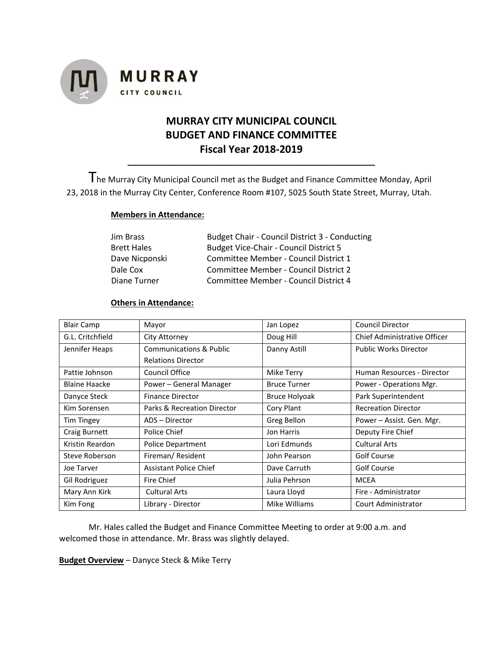

# **MURRAY CITY MUNICIPAL COUNCIL BUDGET AND FINANCE COMMITTEE Fiscal Year 2018-2019**

**\_\_\_\_\_\_\_\_\_\_\_\_\_\_\_\_\_\_\_\_\_\_\_\_\_\_\_\_\_\_\_\_\_\_\_\_\_\_\_\_\_\_\_\_\_\_\_\_\_\_\_\_\_\_\_**

The Murray City Municipal Council met as the Budget and Finance Committee Monday, April 23, 2018 in the Murray City Center, Conference Room #107, 5025 South State Street, Murray, Utah.

# **Members in Attendance:**

| Jim Brass          | Budget Chair - Council District 3 - Conducting |  |
|--------------------|------------------------------------------------|--|
| <b>Brett Hales</b> | <b>Budget Vice-Chair - Council District 5</b>  |  |
| Dave Nicponski     | Committee Member - Council District 1          |  |
| Dale Cox           | Committee Member - Council District 2          |  |
| Diane Turner       | Committee Member - Council District 4          |  |

# **Others in Attendance:**

| <b>Blair Camp</b>    | Mayor                         | Jan Lopez            | <b>Council Director</b>      |
|----------------------|-------------------------------|----------------------|------------------------------|
| G.L. Critchfield     | City Attorney                 | Doug Hill            | Chief Administrative Officer |
| Jennifer Heaps       | Communications & Public       | Danny Astill         | <b>Public Works Director</b> |
|                      | <b>Relations Director</b>     |                      |                              |
| Pattie Johnson       | Council Office                | Mike Terry           | Human Resources - Director   |
| <b>Blaine Haacke</b> | Power - General Manager       | <b>Bruce Turner</b>  | Power - Operations Mgr.      |
| Danyce Steck         | <b>Finance Director</b>       | <b>Bruce Holyoak</b> | Park Superintendent          |
| Kim Sorensen         | Parks & Recreation Director   | Cory Plant           | <b>Recreation Director</b>   |
| <b>Tim Tingey</b>    | ADS - Director                | Greg Bellon          | Power - Assist. Gen. Mgr.    |
| Craig Burnett        | Police Chief                  | Jon Harris           | Deputy Fire Chief            |
| Kristin Reardon      | Police Department             | Lori Edmunds         | <b>Cultural Arts</b>         |
| Steve Roberson       | Fireman/Resident              | John Pearson         | Golf Course                  |
| Joe Tarver           | <b>Assistant Police Chief</b> | Dave Carruth         | Golf Course                  |
| Gil Rodriguez        | Fire Chief                    | Julia Pehrson        | <b>MCEA</b>                  |
| Mary Ann Kirk        | <b>Cultural Arts</b>          | Laura Lloyd          | Fire - Administrator         |
| Kim Fong             | Library - Director            | Mike Williams        | <b>Court Administrator</b>   |

Mr. Hales called the Budget and Finance Committee Meeting to order at 9:00 a.m. and welcomed those in attendance. Mr. Brass was slightly delayed.

**Budget Overview** – Danyce Steck & Mike Terry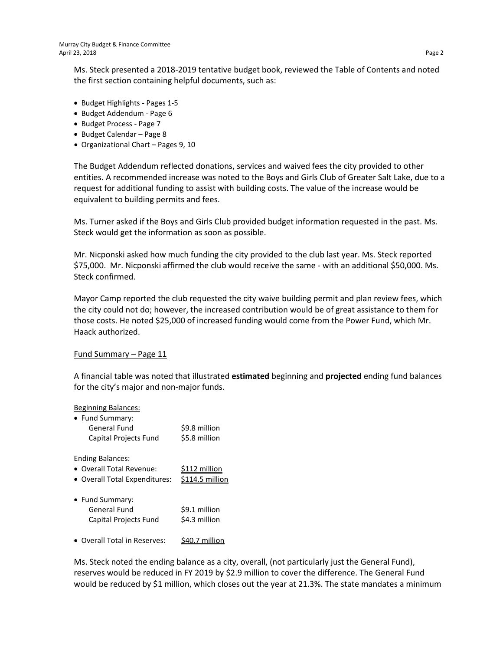Ms. Steck presented a 2018-2019 tentative budget book, reviewed the Table of Contents and noted the first section containing helpful documents, such as:

- Budget Highlights Pages 1-5
- Budget Addendum Page 6
- Budget Process Page 7
- Budget Calendar Page 8
- Organizational Chart Pages 9, 10

The Budget Addendum reflected donations, services and waived fees the city provided to other entities. A recommended increase was noted to the Boys and Girls Club of Greater Salt Lake, due to a request for additional funding to assist with building costs. The value of the increase would be equivalent to building permits and fees.

Ms. Turner asked if the Boys and Girls Club provided budget information requested in the past. Ms. Steck would get the information as soon as possible.

Mr. Nicponski asked how much funding the city provided to the club last year. Ms. Steck reported \$75,000. Mr. Nicponski affirmed the club would receive the same - with an additional \$50,000. Ms. Steck confirmed.

Mayor Camp reported the club requested the city waive building permit and plan review fees, which the city could not do; however, the increased contribution would be of great assistance to them for those costs. He noted \$25,000 of increased funding would come from the Power Fund, which Mr. Haack authorized.

## Fund Summary – Page 11

A financial table was noted that illustrated **estimated** beginning and **projected** ending fund balances for the city's major and non-major funds.

# Beginning Balances: • Fund Summary: General Fund \$9.8 million Capital Projects Fund \$5.8 million Ending Balances: • Overall Total Revenue: \$112 million • Overall Total Expenditures: \$114.5 million • Fund Summary: General Fund \$9.1 million Capital Projects Fund \$4.3 million • Overall Total in Reserves: \$40.7 million

Ms. Steck noted the ending balance as a city, overall, (not particularly just the General Fund), reserves would be reduced in FY 2019 by \$2.9 million to cover the difference. The General Fund would be reduced by \$1 million, which closes out the year at 21.3%. The state mandates a minimum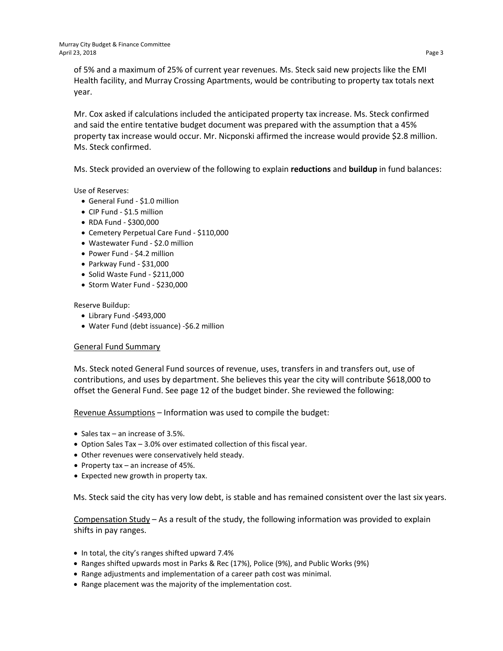of 5% and a maximum of 25% of current year revenues. Ms. Steck said new projects like the EMI Health facility, and Murray Crossing Apartments, would be contributing to property tax totals next year.

Mr. Cox asked if calculations included the anticipated property tax increase. Ms. Steck confirmed and said the entire tentative budget document was prepared with the assumption that a 45% property tax increase would occur. Mr. Nicponski affirmed the increase would provide \$2.8 million. Ms. Steck confirmed.

Ms. Steck provided an overview of the following to explain **reductions** and **buildup** in fund balances:

Use of Reserves:

- General Fund \$1.0 million
- CIP Fund \$1.5 million
- RDA Fund \$300,000
- Cemetery Perpetual Care Fund \$110,000
- Wastewater Fund \$2.0 million
- Power Fund \$4.2 million
- Parkway Fund \$31,000
- Solid Waste Fund \$211,000
- Storm Water Fund \$230,000

Reserve Buildup:

- Library Fund -\$493,000
- Water Fund (debt issuance) -\$6.2 million

## General Fund Summary

Ms. Steck noted General Fund sources of revenue, uses, transfers in and transfers out, use of contributions, and uses by department. She believes this year the city will contribute \$618,000 to offset the General Fund. See page 12 of the budget binder. She reviewed the following:

Revenue Assumptions – Information was used to compile the budget:

- Sales tax an increase of 3.5%.
- Option Sales Tax 3.0% over estimated collection of this fiscal year.
- Other revenues were conservatively held steady.
- Property tax an increase of 45%.
- Expected new growth in property tax.

Ms. Steck said the city has very low debt, is stable and has remained consistent over the last six years.

Compensation Study – As a result of the study, the following information was provided to explain shifts in pay ranges.

- In total, the city's ranges shifted upward 7.4%
- Ranges shifted upwards most in Parks & Rec (17%), Police (9%), and Public Works (9%)
- Range adjustments and implementation of a career path cost was minimal.
- Range placement was the majority of the implementation cost.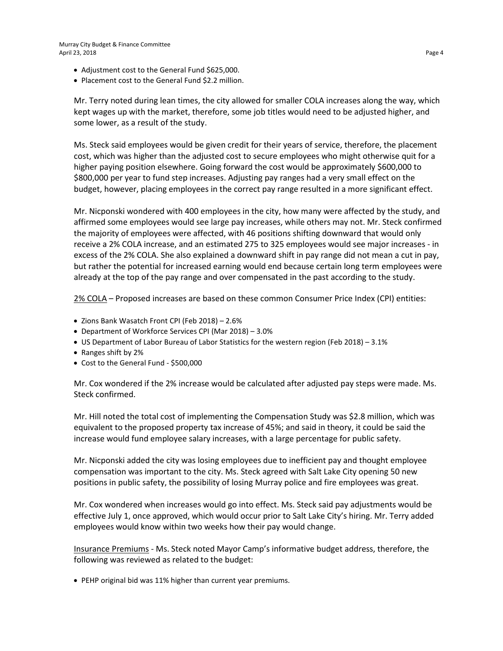- Adjustment cost to the General Fund \$625,000.
- Placement cost to the General Fund \$2.2 million.

Mr. Terry noted during lean times, the city allowed for smaller COLA increases along the way, which kept wages up with the market, therefore, some job titles would need to be adjusted higher, and some lower, as a result of the study.

Ms. Steck said employees would be given credit for their years of service, therefore, the placement cost, which was higher than the adjusted cost to secure employees who might otherwise quit for a higher paying position elsewhere. Going forward the cost would be approximately \$600,000 to \$800,000 per year to fund step increases. Adjusting pay ranges had a very small effect on the budget, however, placing employees in the correct pay range resulted in a more significant effect.

Mr. Nicponski wondered with 400 employees in the city, how many were affected by the study, and affirmed some employees would see large pay increases, while others may not. Mr. Steck confirmed the majority of employees were affected, with 46 positions shifting downward that would only receive a 2% COLA increase, and an estimated 275 to 325 employees would see major increases - in excess of the 2% COLA. She also explained a downward shift in pay range did not mean a cut in pay, but rather the potential for increased earning would end because certain long term employees were already at the top of the pay range and over compensated in the past according to the study.

2% COLA – Proposed increases are based on these common Consumer Price Index (CPI) entities:

- Zions Bank Wasatch Front CPI (Feb 2018) 2.6%
- Department of Workforce Services CPI (Mar 2018) 3.0%
- US Department of Labor Bureau of Labor Statistics for the western region (Feb 2018) 3.1%
- Ranges shift by 2%
- Cost to the General Fund \$500,000

Mr. Cox wondered if the 2% increase would be calculated after adjusted pay steps were made. Ms. Steck confirmed.

Mr. Hill noted the total cost of implementing the Compensation Study was \$2.8 million, which was equivalent to the proposed property tax increase of 45%; and said in theory, it could be said the increase would fund employee salary increases, with a large percentage for public safety.

Mr. Nicponski added the city was losing employees due to inefficient pay and thought employee compensation was important to the city. Ms. Steck agreed with Salt Lake City opening 50 new positions in public safety, the possibility of losing Murray police and fire employees was great.

Mr. Cox wondered when increases would go into effect. Ms. Steck said pay adjustments would be effective July 1, once approved, which would occur prior to Salt Lake City's hiring. Mr. Terry added employees would know within two weeks how their pay would change.

Insurance Premiums - Ms. Steck noted Mayor Camp's informative budget address, therefore, the following was reviewed as related to the budget:

• PEHP original bid was 11% higher than current year premiums.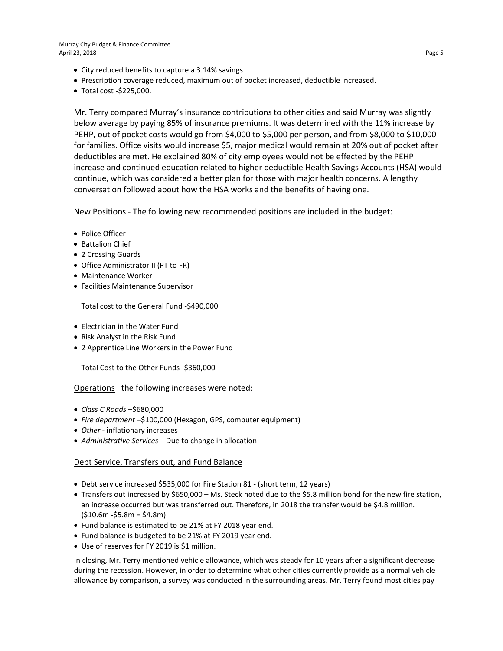Murray City Budget & Finance Committee April 23, 2018 Page 5

- City reduced benefits to capture a 3.14% savings.
- Prescription coverage reduced, maximum out of pocket increased, deductible increased.
- Total cost -\$225,000.

Mr. Terry compared Murray's insurance contributions to other cities and said Murray was slightly below average by paying 85% of insurance premiums. It was determined with the 11% increase by PEHP, out of pocket costs would go from \$4,000 to \$5,000 per person, and from \$8,000 to \$10,000 for families. Office visits would increase \$5, major medical would remain at 20% out of pocket after deductibles are met. He explained 80% of city employees would not be effected by the PEHP increase and continued education related to higher deductible Health Savings Accounts (HSA) would continue, which was considered a better plan for those with major health concerns. A lengthy conversation followed about how the HSA works and the benefits of having one.

New Positions - The following new recommended positions are included in the budget:

- Police Officer
- Battalion Chief
- 2 Crossing Guards
- Office Administrator II (PT to FR)
- Maintenance Worker
- Facilities Maintenance Supervisor

Total cost to the General Fund -\$490,000

- Electrician in the Water Fund
- Risk Analyst in the Risk Fund
- 2 Apprentice Line Workers in the Power Fund

Total Cost to the Other Funds -\$360,000

## Operations– the following increases were noted:

- *Class C Roads* –\$680,000
- *Fire department* –\$100,000 (Hexagon, GPS, computer equipment)
- *Other* inflationary increases
- *Administrative Services* Due to change in allocation

#### Debt Service, Transfers out, and Fund Balance

- Debt service increased \$535,000 for Fire Station 81 (short term, 12 years)
- Transfers out increased by \$650,000 Ms. Steck noted due to the \$5.8 million bond for the new fire station, an increase occurred but was transferred out. Therefore, in 2018 the transfer would be \$4.8 million.  $(510.6m - 55.8m = 54.8m)$
- Fund balance is estimated to be 21% at FY 2018 year end.
- Fund balance is budgeted to be 21% at FY 2019 year end.
- Use of reserves for FY 2019 is \$1 million.

In closing, Mr. Terry mentioned vehicle allowance, which was steady for 10 years after a significant decrease during the recession. However, in order to determine what other cities currently provide as a normal vehicle allowance by comparison, a survey was conducted in the surrounding areas. Mr. Terry found most cities pay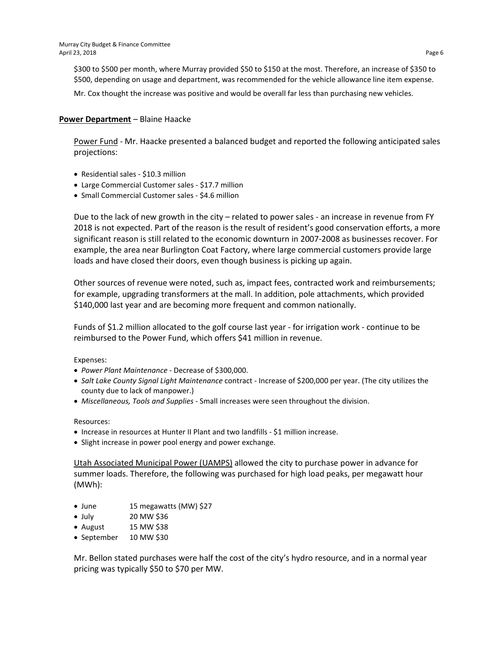\$300 to \$500 per month, where Murray provided \$50 to \$150 at the most. Therefore, an increase of \$350 to \$500, depending on usage and department, was recommended for the vehicle allowance line item expense.

Mr. Cox thought the increase was positive and would be overall far less than purchasing new vehicles.

## **Power Department** – Blaine Haacke

Power Fund - Mr. Haacke presented a balanced budget and reported the following anticipated sales projections:

- Residential sales \$10.3 million
- Large Commercial Customer sales \$17.7 million
- Small Commercial Customer sales \$4.6 million

Due to the lack of new growth in the city – related to power sales - an increase in revenue from FY 2018 is not expected. Part of the reason is the result of resident's good conservation efforts, a more significant reason is still related to the economic downturn in 2007-2008 as businesses recover. For example, the area near Burlington Coat Factory, where large commercial customers provide large loads and have closed their doors, even though business is picking up again.

Other sources of revenue were noted, such as, impact fees, contracted work and reimbursements; for example, upgrading transformers at the mall. In addition, pole attachments, which provided \$140,000 last year and are becoming more frequent and common nationally.

Funds of \$1.2 million allocated to the golf course last year - for irrigation work - continue to be reimbursed to the Power Fund, which offers \$41 million in revenue.

Expenses:

- *Power Plant Maintenance* Decrease of \$300,000.
- *Salt Lake County Signal Light Maintenance* contract Increase of \$200,000 per year. (The city utilizes the county due to lack of manpower.)
- *Miscellaneous, Tools and Supplies* Small increases were seen throughout the division.

#### Resources:

- Increase in resources at Hunter II Plant and two landfills \$1 million increase.
- Slight increase in power pool energy and power exchange.

Utah Associated Municipal Power (UAMPS) allowed the city to purchase power in advance for summer loads. Therefore, the following was purchased for high load peaks, per megawatt hour (MWh):

- June 15 megawatts (MW) \$27
- July 20 MW \$36
- August  $15 \text{ MW}$ \$38
- September 10 MW \$30

Mr. Bellon stated purchases were half the cost of the city's hydro resource, and in a normal year pricing was typically \$50 to \$70 per MW.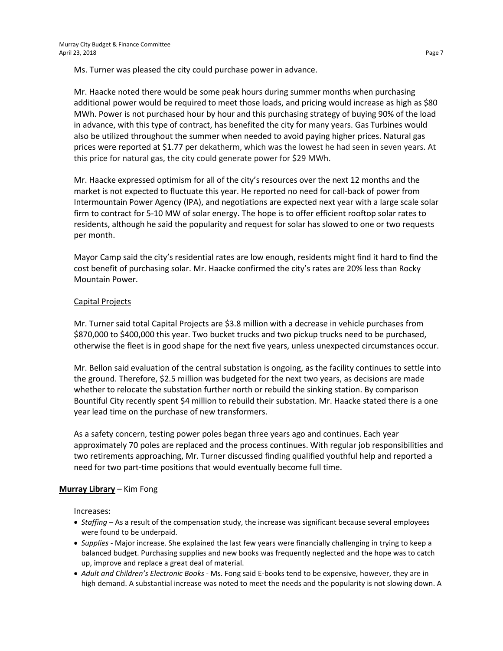Ms. Turner was pleased the city could purchase power in advance.

Mr. Haacke noted there would be some peak hours during summer months when purchasing additional power would be required to meet those loads, and pricing would increase as high as \$80 MWh. Power is not purchased hour by hour and this purchasing strategy of buying 90% of the load in advance, with this type of contract, has benefited the city for many years. Gas Turbines would also be utilized throughout the summer when needed to avoid paying higher prices. Natural gas prices were reported at \$1.77 per dekatherm, which was the lowest he had seen in seven years. At this price for natural gas, the city could generate power for \$29 MWh.

Mr. Haacke expressed optimism for all of the city's resources over the next 12 months and the market is not expected to fluctuate this year. He reported no need for call-back of power from Intermountain Power Agency (IPA), and negotiations are expected next year with a large scale solar firm to contract for 5-10 MW of solar energy. The hope is to offer efficient rooftop solar rates to residents, although he said the popularity and request for solar has slowed to one or two requests per month.

Mayor Camp said the city's residential rates are low enough, residents might find it hard to find the cost benefit of purchasing solar. Mr. Haacke confirmed the city's rates are 20% less than Rocky Mountain Power.

## Capital Projects

Mr. Turner said total Capital Projects are \$3.8 million with a decrease in vehicle purchases from \$870,000 to \$400,000 this year. Two bucket trucks and two pickup trucks need to be purchased, otherwise the fleet is in good shape for the next five years, unless unexpected circumstances occur.

Mr. Bellon said evaluation of the central substation is ongoing, as the facility continues to settle into the ground. Therefore, \$2.5 million was budgeted for the next two years, as decisions are made whether to relocate the substation further north or rebuild the sinking station. By comparison Bountiful City recently spent \$4 million to rebuild their substation. Mr. Haacke stated there is a one year lead time on the purchase of new transformers.

As a safety concern, testing power poles began three years ago and continues. Each year approximately 70 poles are replaced and the process continues. With regular job responsibilities and two retirements approaching, Mr. Turner discussed finding qualified youthful help and reported a need for two part-time positions that would eventually become full time.

# **Murray Library** – Kim Fong

Increases:

- *Staffing* As a result of the compensation study, the increase was significant because several employees were found to be underpaid.
- *Supplies* Major increase. She explained the last few years were financially challenging in trying to keep a balanced budget. Purchasing supplies and new books was frequently neglected and the hope was to catch up, improve and replace a great deal of material.
- *Adult and Children's Electronic Books* Ms. Fong said E-books tend to be expensive, however, they are in high demand. A substantial increase was noted to meet the needs and the popularity is not slowing down. A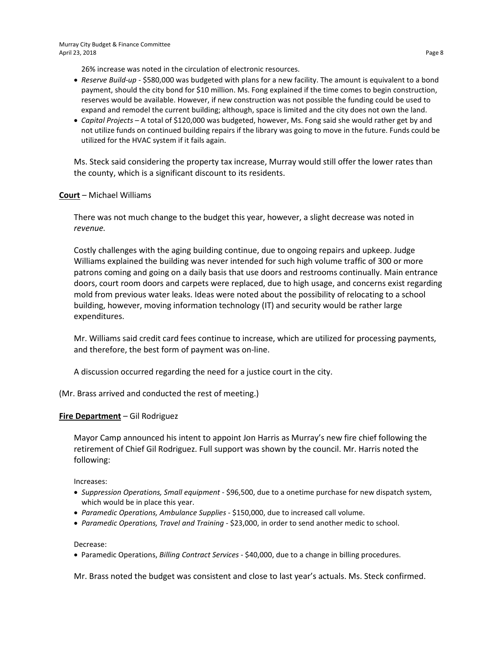Murray City Budget & Finance Committee April 23, 2018 Page 8

26% increase was noted in the circulation of electronic resources.

- *Reserve Build-up -* \$580,000 was budgeted with plans for a new facility. The amount is equivalent to a bond payment, should the city bond for \$10 million. Ms. Fong explained if the time comes to begin construction, reserves would be available. However, if new construction was not possible the funding could be used to expand and remodel the current building; although, space is limited and the city does not own the land.
- *Capital Projects* A total of \$120,000 was budgeted, however, Ms. Fong said she would rather get by and not utilize funds on continued building repairs if the library was going to move in the future. Funds could be utilized for the HVAC system if it fails again.

Ms. Steck said considering the property tax increase, Murray would still offer the lower rates than the county, which is a significant discount to its residents.

## **Court** – Michael Williams

There was not much change to the budget this year, however, a slight decrease was noted in *revenue.*

Costly challenges with the aging building continue, due to ongoing repairs and upkeep. Judge Williams explained the building was never intended for such high volume traffic of 300 or more patrons coming and going on a daily basis that use doors and restrooms continually. Main entrance doors, court room doors and carpets were replaced, due to high usage, and concerns exist regarding mold from previous water leaks. Ideas were noted about the possibility of relocating to a school building, however, moving information technology (IT) and security would be rather large expenditures.

Mr. Williams said credit card fees continue to increase, which are utilized for processing payments, and therefore, the best form of payment was on-line.

A discussion occurred regarding the need for a justice court in the city.

(Mr. Brass arrived and conducted the rest of meeting.)

## **Fire Department** – Gil Rodriguez

Mayor Camp announced his intent to appoint Jon Harris as Murray's new fire chief following the retirement of Chief Gil Rodriguez. Full support was shown by the council. Mr. Harris noted the following:

Increases:

- *Suppression Operations, Small equipment* \$96,500, due to a onetime purchase for new dispatch system, which would be in place this year.
- *Paramedic Operations, Ambulance Supplies* \$150,000, due to increased call volume.
- *Paramedic Operations, Travel and Training* \$23,000, in order to send another medic to school.

Decrease:

• Paramedic Operations, *Billing Contract Services -* \$40,000, due to a change in billing procedures.

Mr. Brass noted the budget was consistent and close to last year's actuals. Ms. Steck confirmed.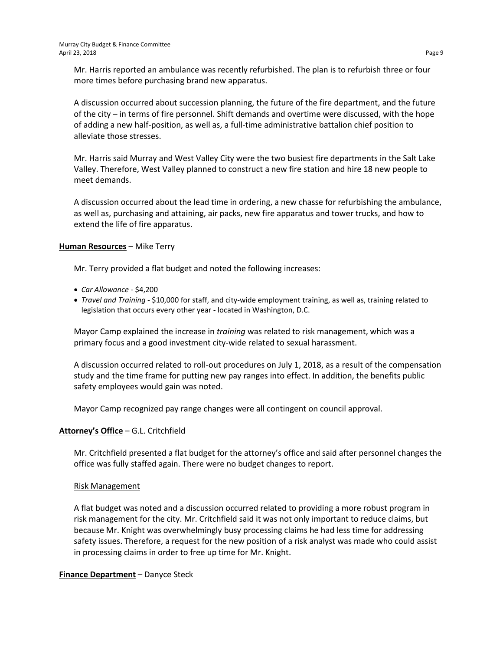Mr. Harris reported an ambulance was recently refurbished. The plan is to refurbish three or four more times before purchasing brand new apparatus.

A discussion occurred about succession planning, the future of the fire department, and the future of the city – in terms of fire personnel. Shift demands and overtime were discussed, with the hope of adding a new half-position, as well as, a full-time administrative battalion chief position to alleviate those stresses.

Mr. Harris said Murray and West Valley City were the two busiest fire departments in the Salt Lake Valley. Therefore, West Valley planned to construct a new fire station and hire 18 new people to meet demands.

A discussion occurred about the lead time in ordering, a new chasse for refurbishing the ambulance, as well as, purchasing and attaining, air packs, new fire apparatus and tower trucks, and how to extend the life of fire apparatus.

## **Human Resources** – Mike Terry

Mr. Terry provided a flat budget and noted the following increases:

- *Car Allowance*  \$4,200
- *Travel and Training* \$10,000 for staff, and city-wide employment training, as well as, training related to legislation that occurs every other year - located in Washington, D.C.

Mayor Camp explained the increase in *training* was related to risk management, which was a primary focus and a good investment city-wide related to sexual harassment.

A discussion occurred related to roll-out procedures on July 1, 2018, as a result of the compensation study and the time frame for putting new pay ranges into effect. In addition, the benefits public safety employees would gain was noted.

Mayor Camp recognized pay range changes were all contingent on council approval.

# **Attorney's Office** – G.L. Critchfield

Mr. Critchfield presented a flat budget for the attorney's office and said after personnel changes the office was fully staffed again. There were no budget changes to report.

## Risk Management

A flat budget was noted and a discussion occurred related to providing a more robust program in risk management for the city. Mr. Critchfield said it was not only important to reduce claims, but because Mr. Knight was overwhelmingly busy processing claims he had less time for addressing safety issues. Therefore, a request for the new position of a risk analyst was made who could assist in processing claims in order to free up time for Mr. Knight.

**Finance Department** – Danyce Steck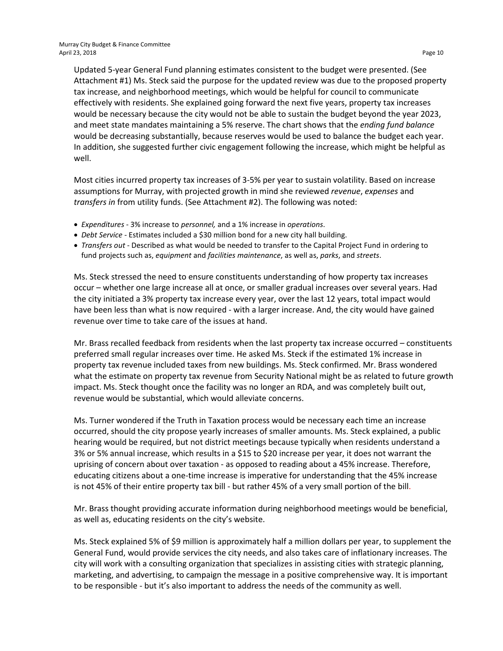Updated 5-year General Fund planning estimates consistent to the budget were presented. (See Attachment #1) Ms. Steck said the purpose for the updated review was due to the proposed property tax increase, and neighborhood meetings, which would be helpful for council to communicate effectively with residents. She explained going forward the next five years, property tax increases would be necessary because the city would not be able to sustain the budget beyond the year 2023, and meet state mandates maintaining a 5% reserve. The chart shows that the *ending fund balance* would be decreasing substantially, because reserves would be used to balance the budget each year. In addition, she suggested further civic engagement following the increase, which might be helpful as well.

Most cities incurred property tax increases of 3-5% per year to sustain volatility. Based on increase assumptions for Murray, with projected growth in mind she reviewed *revenue*, *expenses* and *transfers in* from utility funds. (See Attachment #2). The following was noted:

- *Expenditures* 3% increase to *personnel,* and a 1% increase in *operations*.
- *Debt Service -* Estimates included a \$30 million bond for a new city hall building.
- *Transfers out -* Described as what would be needed to transfer to the Capital Project Fund in ordering to fund projects such as, *equipment* and *facilities maintenance*, as well as, *parks*, and *streets*.

Ms. Steck stressed the need to ensure constituents understanding of how property tax increases occur – whether one large increase all at once, or smaller gradual increases over several years. Had the city initiated a 3% property tax increase every year, over the last 12 years, total impact would have been less than what is now required - with a larger increase. And, the city would have gained revenue over time to take care of the issues at hand.

Mr. Brass recalled feedback from residents when the last property tax increase occurred – constituents preferred small regular increases over time. He asked Ms. Steck if the estimated 1% increase in property tax revenue included taxes from new buildings. Ms. Steck confirmed. Mr. Brass wondered what the estimate on property tax revenue from Security National might be as related to future growth impact. Ms. Steck thought once the facility was no longer an RDA, and was completely built out, revenue would be substantial, which would alleviate concerns.

Ms. Turner wondered if the Truth in Taxation process would be necessary each time an increase occurred, should the city propose yearly increases of smaller amounts. Ms. Steck explained, a public hearing would be required, but not district meetings because typically when residents understand a 3% or 5% annual increase, which results in a \$15 to \$20 increase per year, it does not warrant the uprising of concern about over taxation - as opposed to reading about a 45% increase. Therefore, educating citizens about a one-time increase is imperative for understanding that the 45% increase is not 45% of their entire property tax bill - but rather 45% of a very small portion of the bill.

Mr. Brass thought providing accurate information during neighborhood meetings would be beneficial, as well as, educating residents on the city's website.

Ms. Steck explained 5% of \$9 million is approximately half a million dollars per year, to supplement the General Fund, would provide services the city needs, and also takes care of inflationary increases. The city will work with a consulting organization that specializes in assisting cities with strategic planning, marketing, and advertising, to campaign the message in a positive comprehensive way. It is important to be responsible - but it's also important to address the needs of the community as well.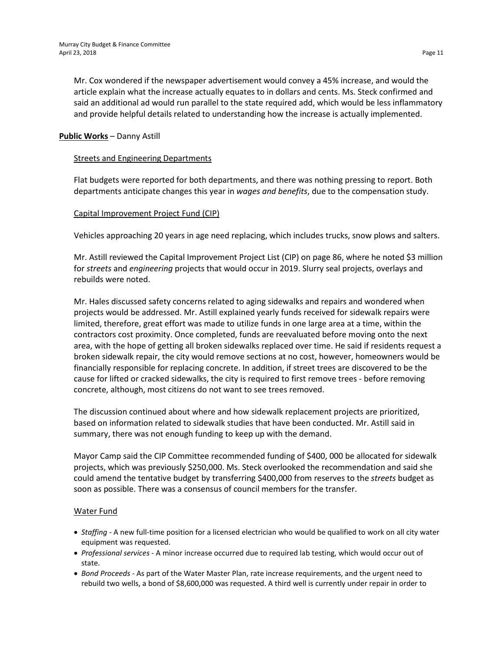Mr. Cox wondered if the newspaper advertisement would convey a 45% increase, and would the article explain what the increase actually equates to in dollars and cents. Ms. Steck confirmed and said an additional ad would run parallel to the state required add, which would be less inflammatory and provide helpful details related to understanding how the increase is actually implemented.

# **Public Works** – Danny Astill

# Streets and Engineering Departments

Flat budgets were reported for both departments, and there was nothing pressing to report. Both departments anticipate changes this year in *wages and benefits*, due to the compensation study.

# Capital Improvement Project Fund (CIP)

Vehicles approaching 20 years in age need replacing, which includes trucks, snow plows and salters.

Mr. Astill reviewed the Capital Improvement Project List (CIP) on page 86, where he noted \$3 million for *streets* and *engineering* projects that would occur in 2019. Slurry seal projects, overlays and rebuilds were noted.

Mr. Hales discussed safety concerns related to aging sidewalks and repairs and wondered when projects would be addressed. Mr. Astill explained yearly funds received for sidewalk repairs were limited, therefore, great effort was made to utilize funds in one large area at a time, within the contractors cost proximity. Once completed, funds are reevaluated before moving onto the next area, with the hope of getting all broken sidewalks replaced over time. He said if residents request a broken sidewalk repair, the city would remove sections at no cost, however, homeowners would be financially responsible for replacing concrete. In addition, if street trees are discovered to be the cause for lifted or cracked sidewalks, the city is required to first remove trees - before removing concrete, although, most citizens do not want to see trees removed.

The discussion continued about where and how sidewalk replacement projects are prioritized, based on information related to sidewalk studies that have been conducted. Mr. Astill said in summary, there was not enough funding to keep up with the demand.

Mayor Camp said the CIP Committee recommended funding of \$400, 000 be allocated for sidewalk projects, which was previously \$250,000. Ms. Steck overlooked the recommendation and said she could amend the tentative budget by transferring \$400,000 from reserves to the *streets* budget as soon as possible. There was a consensus of council members for the transfer.

# Water Fund

- *Staffing* A new full-time position for a licensed electrician who would be qualified to work on all city water equipment was requested.
- *Professional services* A minor increase occurred due to required lab testing, which would occur out of state.
- *Bond Proceeds* As part of the Water Master Plan, rate increase requirements, and the urgent need to rebuild two wells, a bond of \$8,600,000 was requested. A third well is currently under repair in order to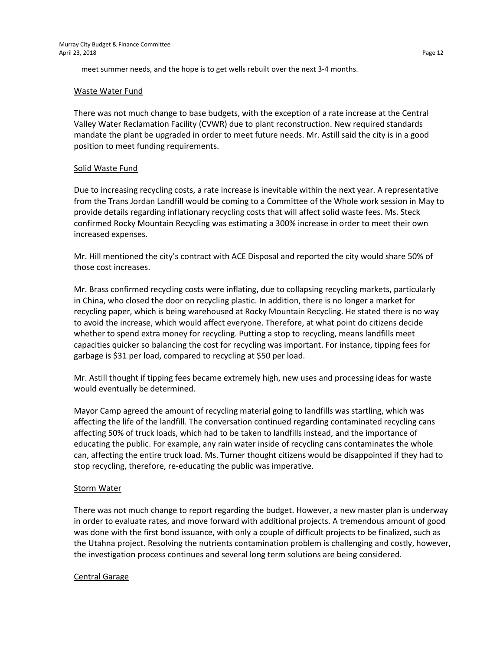meet summer needs, and the hope is to get wells rebuilt over the next 3-4 months.

## Waste Water Fund

There was not much change to base budgets, with the exception of a rate increase at the Central Valley Water Reclamation Facility (CVWR) due to plant reconstruction. New required standards mandate the plant be upgraded in order to meet future needs. Mr. Astill said the city is in a good position to meet funding requirements.

# Solid Waste Fund

Due to increasing recycling costs, a rate increase is inevitable within the next year. A representative from the Trans Jordan Landfill would be coming to a Committee of the Whole work session in May to provide details regarding inflationary recycling costs that will affect solid waste fees. Ms. Steck confirmed Rocky Mountain Recycling was estimating a 300% increase in order to meet their own increased expenses.

Mr. Hill mentioned the city's contract with ACE Disposal and reported the city would share 50% of those cost increases.

Mr. Brass confirmed recycling costs were inflating, due to collapsing recycling markets, particularly in China, who closed the door on recycling plastic. In addition, there is no longer a market for recycling paper, which is being warehoused at Rocky Mountain Recycling. He stated there is no way to avoid the increase, which would affect everyone. Therefore, at what point do citizens decide whether to spend extra money for recycling. Putting a stop to recycling, means landfills meet capacities quicker so balancing the cost for recycling was important. For instance, tipping fees for garbage is \$31 per load, compared to recycling at \$50 per load.

Mr. Astill thought if tipping fees became extremely high, new uses and processing ideas for waste would eventually be determined.

Mayor Camp agreed the amount of recycling material going to landfills was startling, which was affecting the life of the landfill. The conversation continued regarding contaminated recycling cans affecting 50% of truck loads, which had to be taken to landfills instead, and the importance of educating the public. For example, any rain water inside of recycling cans contaminates the whole can, affecting the entire truck load. Ms. Turner thought citizens would be disappointed if they had to stop recycling, therefore, re-educating the public was imperative.

# **Storm Water**

There was not much change to report regarding the budget. However, a new master plan is underway in order to evaluate rates, and move forward with additional projects. A tremendous amount of good was done with the first bond issuance, with only a couple of difficult projects to be finalized, such as the Utahna project. Resolving the nutrients contamination problem is challenging and costly, however, the investigation process continues and several long term solutions are being considered.

# Central Garage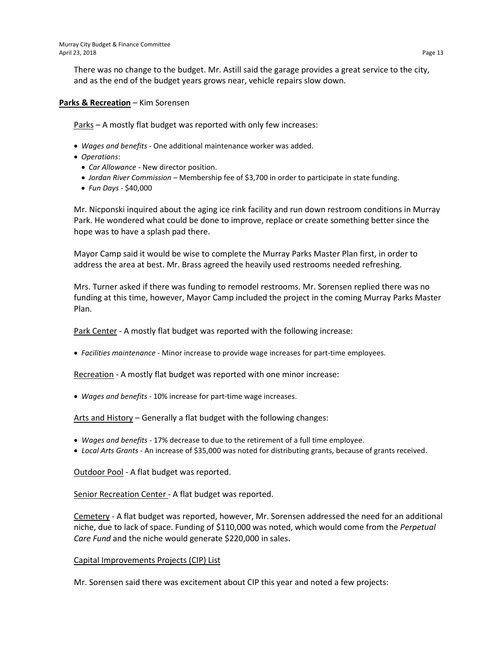There was no change to the budget. Mr. Astill said the garage provides a great service to the city, and as the end of the budget years grows near, vehicle repairs slow down.

**Parks & Recreation** – Kim Sorensen

Parks – A mostly flat budget was reported with only few increases:

- *Wages and benefits* One additional maintenance worker was added.
- *Operations*:
	- *Car Allowance* New director position.
	- *Jordan River Commission –* Membership fee of \$3,700 in order to participate in state funding.
	- *Fun Days* \$40,000

Mr. Nicponski inquired about the aging ice rink facility and run down restroom conditions in Murray Park. He wondered what could be done to improve, replace or create something better since the hope was to have a splash pad there.

Mayor Camp said it would be wise to complete the Murray Parks Master Plan first, in order to address the area at best. Mr. Brass agreed the heavily used restrooms needed refreshing.

Mrs. Turner asked if there was funding to remodel restrooms. Mr. Sorensen replied there was no funding at this time, however, Mayor Camp included the project in the coming Murray Parks Master Plan.

Park Center - A mostly flat budget was reported with the following increase:

• *Facilities maintenance -* Minor increase to provide wage increases for part-time employees.

Recreation - A mostly flat budget was reported with one minor increase:

• *Wages and benefits* - 10% increase for part-time wage increases.

Arts and History – Generally a flat budget with the following changes:

- *Wages and benefits* 17% decrease to due to the retirement of a full time employee.
- *Local Arts Grants* An increase of \$35,000 was noted for distributing grants, because of grants received.

Outdoor Pool - A flat budget was reported.

Senior Recreation Center - A flat budget was reported.

Cemetery - A flat budget was reported, however, Mr. Sorensen addressed the need for an additional niche, due to lack of space. Funding of \$110,000 was noted, which would come from the *Perpetual Care Fund* and the niche would generate \$220,000 in sales.

# Capital Improvements Projects (CIP) List

Mr. Sorensen said there was excitement about CIP this year and noted a few projects: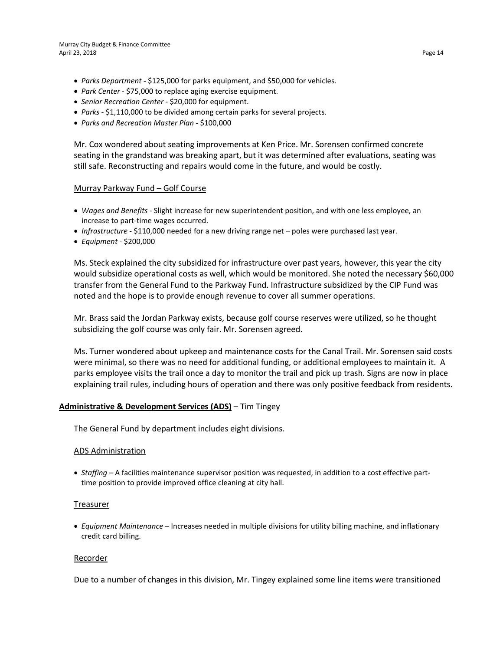- *Parks Department* \$125,000 for parks equipment, and \$50,000 for vehicles.
- *Park Center* \$75,000 to replace aging exercise equipment.
- *Senior Recreation Center* \$20,000 for equipment.
- *Parks* \$1,110,000 to be divided among certain parks for several projects.
- *Parks and Recreation Master Plan* \$100,000

Mr. Cox wondered about seating improvements at Ken Price. Mr. Sorensen confirmed concrete seating in the grandstand was breaking apart, but it was determined after evaluations, seating was still safe. Reconstructing and repairs would come in the future, and would be costly.

#### Murray Parkway Fund – Golf Course

- *Wages and Benefits* Slight increase for new superintendent position, and with one less employee, an increase to part-time wages occurred.
- *Infrastructure* \$110,000 needed for a new driving range net poles were purchased last year.
- *Equipment* \$200,000

Ms. Steck explained the city subsidized for infrastructure over past years, however, this year the city would subsidize operational costs as well, which would be monitored. She noted the necessary \$60,000 transfer from the General Fund to the Parkway Fund. Infrastructure subsidized by the CIP Fund was noted and the hope is to provide enough revenue to cover all summer operations.

Mr. Brass said the Jordan Parkway exists, because golf course reserves were utilized, so he thought subsidizing the golf course was only fair. Mr. Sorensen agreed.

Ms. Turner wondered about upkeep and maintenance costs for the Canal Trail. Mr. Sorensen said costs were minimal, so there was no need for additional funding, or additional employees to maintain it. A parks employee visits the trail once a day to monitor the trail and pick up trash. Signs are now in place explaining trail rules, including hours of operation and there was only positive feedback from residents.

# **Administrative & Development Services (ADS)** – Tim Tingey

The General Fund by department includes eight divisions.

#### ADS Administration

• *Staffing –* A facilities maintenance supervisor position was requested, in addition to a cost effective parttime position to provide improved office cleaning at city hall.

#### Treasurer

• *Equipment Maintenance* – Increases needed in multiple divisions for utility billing machine, and inflationary credit card billing.

## Recorder

Due to a number of changes in this division, Mr. Tingey explained some line items were transitioned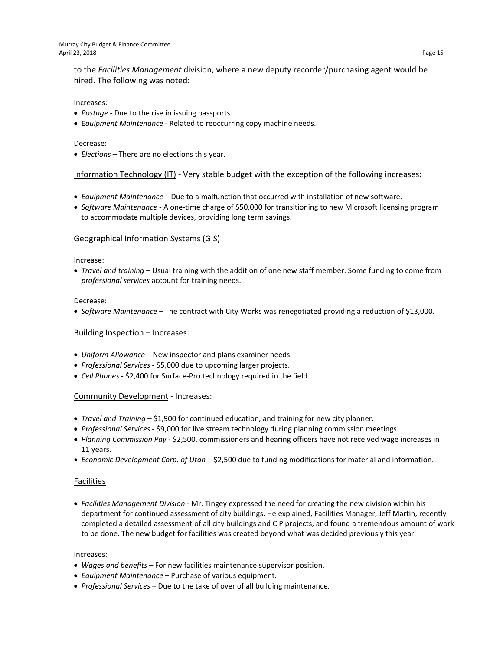to the *Facilities Management* division, where a new deputy recorder/purchasing agent would be hired. The following was noted:

#### Increases:

- *Postage -* Due to the rise in issuing passports.
- E*quipment Maintenance -* Related to reoccurring copy machine needs.

#### Decrease:

• *Elections* – There are no elections this year.

Information Technology (IT) - Very stable budget with the exception of the following increases:

- *Equipment Maintenance*  Due to a malfunction that occurred with installation of new software.
- *Software Maintenance* A one-time charge of \$50,000 for transitioning to new Microsoft licensing program to accommodate multiple devices, providing long term savings.

#### Geographical Information Systems (GIS)

#### Increase:

• *Travel and training* – Usual training with the addition of one new staff member. Some funding to come from *professional services* account for training needs.

#### Decrease:

• *Software Maintenance* – The contract with City Works was renegotiated providing a reduction of \$13,000.

#### Building Inspection – Increases:

- *Uniform Allowance –* New inspector and plans examiner needs.
- *Professional Services* \$5,000 due to upcoming larger projects.
- *Cell Phones* \$2,400 for Surface-Pro technology required in the field.

#### Community Development - Increases:

- *Travel and Training –* \$1,900 for continued education, and training for new city planner.
- *Professional Services* \$9,000 for live stream technology during planning commission meetings.
- *Planning Commission Pay* \$2,500, commissioners and hearing officers have not received wage increases in 11 years.
- *Economic Development Corp. of Utah* \$2,500 due to funding modifications for material and information.

#### Facilities

• *Facilities Management Division* - Mr. Tingey expressed the need for creating the new division within his department for continued assessment of city buildings. He explained, Facilities Manager, Jeff Martin, recently completed a detailed assessment of all city buildings and CIP projects, and found a tremendous amount of work to be done. The new budget for facilities was created beyond what was decided previously this year.

#### Increases:

- *Wages and benefits –* For new facilities maintenance supervisor position.
- *Equipment Maintenance* Purchase of various equipment.
- *Professional Services* Due to the take of over of all building maintenance.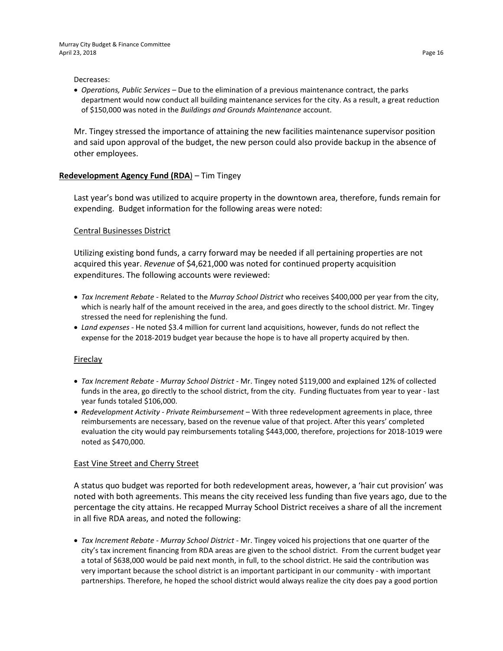#### Decreases:

• *Operations, Public Services* – Due to the elimination of a previous maintenance contract, the parks department would now conduct all building maintenance services for the city. As a result, a great reduction of \$150,000 was noted in the *Buildings and Grounds Maintenance* account.

Mr. Tingey stressed the importance of attaining the new facilities maintenance supervisor position and said upon approval of the budget, the new person could also provide backup in the absence of other employees.

## **Redevelopment Agency Fund (RDA**) – Tim Tingey

Last year's bond was utilized to acquire property in the downtown area, therefore, funds remain for expending. Budget information for the following areas were noted:

## Central Businesses District

Utilizing existing bond funds, a carry forward may be needed if all pertaining properties are not acquired this year. *Revenue* of \$4,621,000 was noted for continued property acquisition expenditures. The following accounts were reviewed:

- *Tax Increment Rebate* Related to the *Murray School District* who receives \$400,000 per year from the city, which is nearly half of the amount received in the area, and goes directly to the school district. Mr. Tingey stressed the need for replenishing the fund.
- *Land expenses -* He noted \$3.4 million for current land acquisitions, however, funds do not reflect the expense for the 2018-2019 budget year because the hope is to have all property acquired by then.

## Fireclay

- *Tax Increment Rebate Murray School District -* Mr. Tingey noted \$119,000 and explained 12% of collected funds in the area, go directly to the school district, from the city. Funding fluctuates from year to year - last year funds totaled \$106,000.
- *Redevelopment Activity - Private Reimbursement* With three redevelopment agreements in place, three reimbursements are necessary, based on the revenue value of that project. After this years' completed evaluation the city would pay reimbursements totaling \$443,000, therefore, projections for 2018-1019 were noted as \$470,000.

## East Vine Street and Cherry Street

A status quo budget was reported for both redevelopment areas, however, a 'hair cut provision' was noted with both agreements. This means the city received less funding than five years ago, due to the percentage the city attains. He recapped Murray School District receives a share of all the increment in all five RDA areas, and noted the following:

• *Tax Increment Rebate* - *Murray School District -* Mr. Tingey voiced his projections that one quarter of the city's tax increment financing from RDA areas are given to the school district. From the current budget year a total of \$638,000 would be paid next month, in full, to the school district. He said the contribution was very important because the school district is an important participant in our community - with important partnerships. Therefore, he hoped the school district would always realize the city does pay a good portion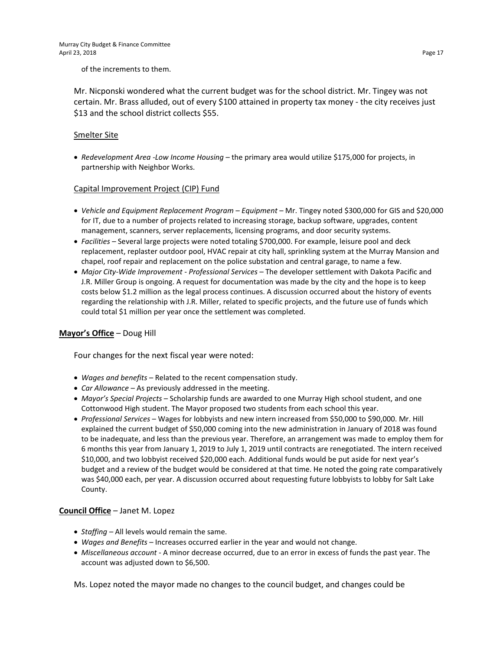of the increments to them.

Mr. Nicponski wondered what the current budget was for the school district. Mr. Tingey was not certain. Mr. Brass alluded, out of every \$100 attained in property tax money - the city receives just \$13 and the school district collects \$55.

## Smelter Site

• *Redevelopment Area -Low Income Housing –* the primary area would utilize \$175,000 for projects, in partnership with Neighbor Works.

## Capital Improvement Project (CIP) Fund

- *Vehicle and Equipment Replacement Program – Equipment* Mr. Tingey noted \$300,000 for GIS and \$20,000 for IT, due to a number of projects related to increasing storage, backup software, upgrades, content management, scanners, server replacements, licensing programs, and door security systems.
- *Facilities –* Several large projects were noted totaling \$700,000. For example, leisure pool and deck replacement, replaster outdoor pool, HVAC repair at city hall, sprinkling system at the Murray Mansion and chapel, roof repair and replacement on the police substation and central garage, to name a few.
- *Major City-Wide Improvement - Professional Services –* The developer settlement with Dakota Pacific and J.R. Miller Group is ongoing. A request for documentation was made by the city and the hope is to keep costs below \$1.2 million as the legal process continues. A discussion occurred about the history of events regarding the relationship with J.R. Miller, related to specific projects, and the future use of funds which could total \$1 million per year once the settlement was completed.

## **Mayor's Office** – Doug Hill

Four changes for the next fiscal year were noted:

- *Wages and benefits –* Related to the recent compensation study.
- *Car Allowance* As previously addressed in the meeting.
- *Mayor's Special Projects* Scholarship funds are awarded to one Murray High school student, and one Cottonwood High student. The Mayor proposed two students from each school this year.
- *Professional Services* Wages for lobbyists and new intern increased from \$50,000 to \$90,000. Mr. Hill explained the current budget of \$50,000 coming into the new administration in January of 2018 was found to be inadequate, and less than the previous year. Therefore, an arrangement was made to employ them for 6 months this year from January 1, 2019 to July 1, 2019 until contracts are renegotiated. The intern received \$10,000, and two lobbyist received \$20,000 each. Additional funds would be put aside for next year's budget and a review of the budget would be considered at that time. He noted the going rate comparatively was \$40,000 each, per year. A discussion occurred about requesting future lobbyists to lobby for Salt Lake County.

# **Council Office** – Janet M. Lopez

- *Staffing –* All levels would remain the same.
- *Wages and Benefits* Increases occurred earlier in the year and would not change.
- *Miscellaneous account* A minor decrease occurred, due to an error in excess of funds the past year. The account was adjusted down to \$6,500.

Ms. Lopez noted the mayor made no changes to the council budget, and changes could be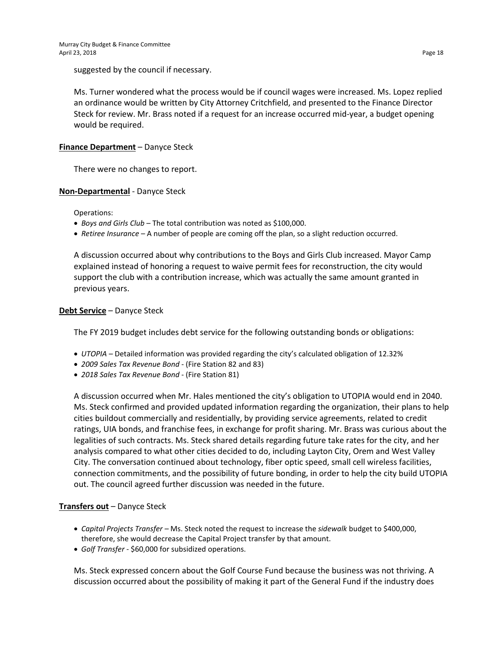suggested by the council if necessary.

Ms. Turner wondered what the process would be if council wages were increased. Ms. Lopez replied an ordinance would be written by City Attorney Critchfield, and presented to the Finance Director Steck for review. Mr. Brass noted if a request for an increase occurred mid-year, a budget opening would be required.

## **Finance Department** – Danyce Steck

There were no changes to report.

## **Non-Departmental** - Danyce Steck

Operations:

- *Boys and Girls Club –* The total contribution was noted as \$100,000.
- *Retiree Insurance –* A number of people are coming off the plan, so a slight reduction occurred.

A discussion occurred about why contributions to the Boys and Girls Club increased. Mayor Camp explained instead of honoring a request to waive permit fees for reconstruction, the city would support the club with a contribution increase, which was actually the same amount granted in previous years.

## **Debt Service** – Danyce Steck

The FY 2019 budget includes debt service for the following outstanding bonds or obligations:

- *UTOPIA –* Detailed information was provided regarding the city's calculated obligation of 12.32%
- *2009 Sales Tax Revenue Bond* (Fire Station 82 and 83)
- *2018 Sales Tax Revenue Bond* (Fire Station 81)

A discussion occurred when Mr. Hales mentioned the city's obligation to UTOPIA would end in 2040. Ms. Steck confirmed and provided updated information regarding the organization, their plans to help cities buildout commercially and residentially, by providing service agreements, related to credit ratings, UIA bonds, and franchise fees, in exchange for profit sharing. Mr. Brass was curious about the legalities of such contracts. Ms. Steck shared details regarding future take rates for the city, and her analysis compared to what other cities decided to do, including Layton City, Orem and West Valley City. The conversation continued about technology, fiber optic speed, small cell wireless facilities, connection commitments, and the possibility of future bonding, in order to help the city build UTOPIA out. The council agreed further discussion was needed in the future.

# **Transfers out** – Danyce Steck

- *Capital Projects Transfer –* Ms. Steck noted the request to increase the *sidewalk* budget to \$400,000, therefore, she would decrease the Capital Project transfer by that amount.
- *Golf Transfer* \$60,000 for subsidized operations.

Ms. Steck expressed concern about the Golf Course Fund because the business was not thriving. A discussion occurred about the possibility of making it part of the General Fund if the industry does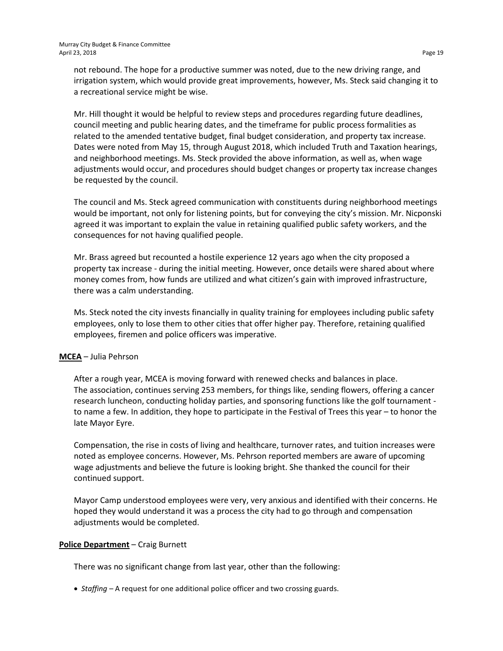not rebound. The hope for a productive summer was noted, due to the new driving range, and irrigation system, which would provide great improvements, however, Ms. Steck said changing it to a recreational service might be wise.

Mr. Hill thought it would be helpful to review steps and procedures regarding future deadlines, council meeting and public hearing dates, and the timeframe for public process formalities as related to the amended tentative budget, final budget consideration, and property tax increase. Dates were noted from May 15, through August 2018, which included Truth and Taxation hearings, and neighborhood meetings. Ms. Steck provided the above information, as well as, when wage adjustments would occur, and procedures should budget changes or property tax increase changes be requested by the council.

The council and Ms. Steck agreed communication with constituents during neighborhood meetings would be important, not only for listening points, but for conveying the city's mission. Mr. Nicponski agreed it was important to explain the value in retaining qualified public safety workers, and the consequences for not having qualified people.

Mr. Brass agreed but recounted a hostile experience 12 years ago when the city proposed a property tax increase - during the initial meeting. However, once details were shared about where money comes from, how funds are utilized and what citizen's gain with improved infrastructure, there was a calm understanding.

Ms. Steck noted the city invests financially in quality training for employees including public safety employees, only to lose them to other cities that offer higher pay. Therefore, retaining qualified employees, firemen and police officers was imperative.

# **MCEA** – Julia Pehrson

After a rough year, MCEA is moving forward with renewed checks and balances in place. The association, continues serving 253 members, for things like, sending flowers, offering a cancer research luncheon, conducting holiday parties, and sponsoring functions like the golf tournament to name a few. In addition, they hope to participate in the Festival of Trees this year – to honor the late Mayor Eyre.

Compensation, the rise in costs of living and healthcare, turnover rates, and tuition increases were noted as employee concerns. However, Ms. Pehrson reported members are aware of upcoming wage adjustments and believe the future is looking bright. She thanked the council for their continued support.

Mayor Camp understood employees were very, very anxious and identified with their concerns. He hoped they would understand it was a process the city had to go through and compensation adjustments would be completed.

## **Police Department** – Craig Burnett

There was no significant change from last year, other than the following:

• *Staffing –* A request for one additional police officer and two crossing guards.